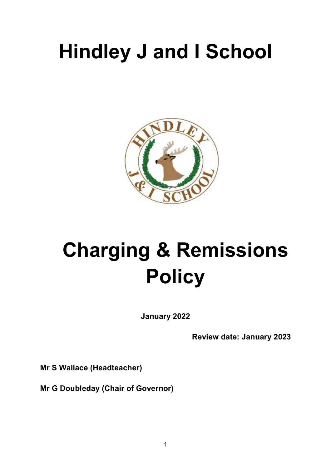# **Hindley J and I School**



# **Charging & Remissions Policy**

**January 2022** 

**Review date: January 2023** 

**Mr S Wallace (Headteacher)** 

**Mr G Doubleday (Chair of Governor)**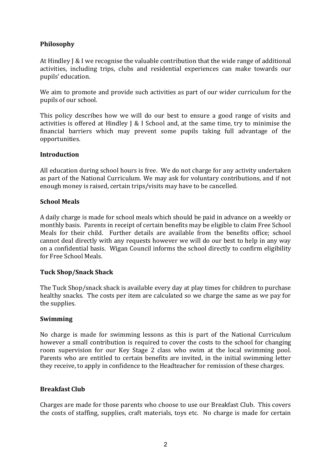# **Philosophy**

At Hindley J & I we recognise the valuable contribution that the wide range of additional activities, including trips, clubs and residential experiences can make towards our pupils' education.

We aim to promote and provide such activities as part of our wider curriculum for the pupils of our school.

This policy describes how we will do our best to ensure a good range of visits and activities is offered at Hindley J & I School and, at the same time, try to minimise the financial barriers which may prevent some pupils taking full advantage of the opportunities.

#### **Introduction**

All education during school hours is free. We do not charge for any activity undertaken as part of the National Curriculum. We may ask for voluntary contributions, and if not enough money is raised, certain trips/visits may have to be cancelled.

#### **School Meals**

A daily charge is made for school meals which should be paid in advance on a weekly or monthly basis. Parents in receipt of certain benefits may be eligible to claim Free School Meals for their child. Further details are available from the benefits office; school cannot deal directly with any requests however we will do our best to help in any way on a confidential basis. Wigan Council informs the school directly to confirm eligibility for Free School Meals.

# **Tuck Shop/Snack Shack**

The Tuck Shop/snack shack is available every day at play times for children to purchase healthy snacks. The costs per item are calculated so we charge the same as we pay for the supplies.

#### **Swimming**

No charge is made for swimming lessons as this is part of the National Curriculum however a small contribution is required to cover the costs to the school for changing room supervision for our Key Stage 2 class who swim at the local swimming pool. Parents who are entitled to certain benefits are invited, in the initial swimming letter they receive, to apply in confidence to the Headteacher for remission of these charges.

#### **Breakfast Club**

Charges are made for those parents who choose to use our Breakfast Club. This covers the costs of staffing, supplies, craft materials, toys etc. No charge is made for certain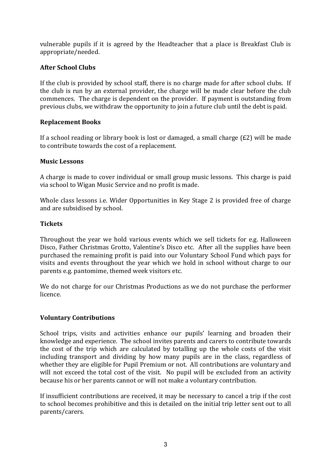vulnerable pupils if it is agreed by the Headteacher that a place is Breakfast Club is appropriate/needed.

# **After School Clubs**

If the club is provided by school staff, there is no charge made for after school clubs. If the club is run by an external provider, the charge will be made clear before the club commences. The charge is dependent on the provider. If payment is outstanding from previous clubs, we withdraw the opportunity to join a future club until the debt is paid.

# **Replacement Books**

If a school reading or library book is lost or damaged, a small charge (£2) will be made to contribute towards the cost of a replacement.

# **Music Lessons**

A charge is made to cover individual or small group music lessons. This charge is paid via school to Wigan Music Service and no profit is made.

Whole class lessons i.e. Wider Opportunities in Key Stage 2 is provided free of charge and are subsidised by school.

# **Tickets**

Throughout the year we hold various events which we sell tickets for e.g. Halloween Disco, Father Christmas Grotto, Valentine's Disco etc. After all the supplies have been purchased the remaining profit is paid into our Voluntary School Fund which pays for visits and events throughout the year which we hold in school without charge to our parents e.g. pantomime, themed week visitors etc.

We do not charge for our Christmas Productions as we do not purchase the performer licence.

# **Voluntary Contributions**

School trips, visits and activities enhance our pupils' learning and broaden their knowledge and experience. The school invites parents and carers to contribute towards the cost of the trip which are calculated by totalling up the whole costs of the visit including transport and dividing by how many pupils are in the class, regardless of whether they are eligible for Pupil Premium or not. All contributions are voluntary and will not exceed the total cost of the visit. No pupil will be excluded from an activity because his or her parents cannot or will not make a voluntary contribution.

If insufficient contributions are received, it may be necessary to cancel a trip if the cost to school becomes prohibitive and this is detailed on the initial trip letter sent out to all parents/carers.